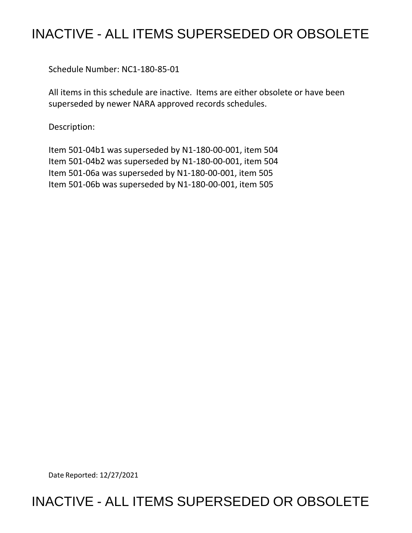## INACTIVE - ALL ITEMS SUPERSEDED OR OBSOLETE

Schedule Number: NC1-180-85-01

 All items in this schedule are inactive. Items are either obsolete or have been superseded by newer NARA approved records schedules.

Description:

 Item 501-04b1 was superseded by N1-180-00-001, item 504 Item 501-04b2 was superseded by N1-180-00-001, item 504 Item 501-06a was superseded by N1-180-00-001, item 505 Item 501-06b was superseded by N1-180-00-001, item 505

Date Reported: 12/27/2021

## INACTIVE - ALL ITEMS SUPERSEDED OR OBSOLETE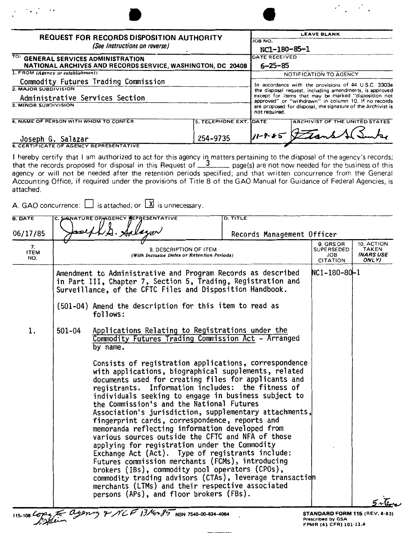| <b>REQUEST FOR RECORDS DISPOSITION AUTHORITY</b><br>(See Instructions on reverse)                  |                                |  | <b>LEAVE BLANK</b>                                                                                                                                                                                                                                                                                               |  |  |  |
|----------------------------------------------------------------------------------------------------|--------------------------------|--|------------------------------------------------------------------------------------------------------------------------------------------------------------------------------------------------------------------------------------------------------------------------------------------------------------------|--|--|--|
|                                                                                                    |                                |  | JOB NO.                                                                                                                                                                                                                                                                                                          |  |  |  |
|                                                                                                    |                                |  | NC1-180-85-1                                                                                                                                                                                                                                                                                                     |  |  |  |
| TO: GENERAL SERVICES ADMINISTRATION<br>NATIONAL ARCHIVES AND RECORDS SERVICE, WASHINGTON, DC 20408 |                                |  | <b>DATE RECEIVED</b>                                                                                                                                                                                                                                                                                             |  |  |  |
|                                                                                                    |                                |  | $6 - 25 - 85$                                                                                                                                                                                                                                                                                                    |  |  |  |
| 1. FROM (Agency or establishment)                                                                  |                                |  | NOTIFICATION TO AGENCY                                                                                                                                                                                                                                                                                           |  |  |  |
| Commodity Futures Trading Commission                                                               |                                |  | In accordance with the provisions of 44 U.S.C. 3303a<br>the disposal request, including amendments, is approved<br>except for items that may be marked "disposition not<br>approved" or "withdrawn" in column 10. If no records<br>are proposed for disposal, the signature of the Archivist is<br>not required. |  |  |  |
| 2. MAJOR SUBDIVISION                                                                               |                                |  |                                                                                                                                                                                                                                                                                                                  |  |  |  |
| Administrative Services Section                                                                    |                                |  |                                                                                                                                                                                                                                                                                                                  |  |  |  |
| 3. MINOR SUBDIVISION                                                                               |                                |  |                                                                                                                                                                                                                                                                                                                  |  |  |  |
| 4. NAME OF PERSON WITH WHOM TO CONFER                                                              | <b>5. TELEPHONE EXT. IDATE</b> |  | ARCHIVIST OF THE UNITED STATES                                                                                                                                                                                                                                                                                   |  |  |  |
| Joseph G. Salazar                                                                                  | 254-9735                       |  | $11 - 8 - 5$ Frans                                                                                                                                                                                                                                                                                               |  |  |  |
| <b>6. CERTIFICATE OF AGENCY REPRESENTATIVE</b>                                                     |                                |  |                                                                                                                                                                                                                                                                                                                  |  |  |  |

I hereby certify that I am authorized to act for this agency in matters pertaining to the disposal of the agency's records; that the records proposed for disposal in this Request of **3** page(s) are not now needed for the business of this agency or will not be needed after the retention periods specified; and that written concurrence from the General Accounting Office, if required under the provisions of Title 8 of the GAO Manual for Guidance of Federal Agencies, is attached.

A. GAO concurrence:  $\Box$  is attached; or  $\Box$  is unnecessary.

 $\cdot$  .

happin

 $\sim 10$ 

| <b>B. DATE</b>                       |        | C. SIGNATURE OF AGENCY REPRESENTATIVE                                                                                                                                                                                                                                                                                                                                                                                                                                                                                                                                                                                                                                                                                                                                                                                                                                                                                                                                                                                                            | <b>D. TITLE</b>            |                                                          |                                           |
|--------------------------------------|--------|--------------------------------------------------------------------------------------------------------------------------------------------------------------------------------------------------------------------------------------------------------------------------------------------------------------------------------------------------------------------------------------------------------------------------------------------------------------------------------------------------------------------------------------------------------------------------------------------------------------------------------------------------------------------------------------------------------------------------------------------------------------------------------------------------------------------------------------------------------------------------------------------------------------------------------------------------------------------------------------------------------------------------------------------------|----------------------------|----------------------------------------------------------|-------------------------------------------|
| 06/17/85<br>7.<br><b>ITEM</b><br>NO. |        | 8. DESCRIPTION OF ITEM<br>(With Inclusive Dates or Retention Periods)                                                                                                                                                                                                                                                                                                                                                                                                                                                                                                                                                                                                                                                                                                                                                                                                                                                                                                                                                                            | Records Management Officer | 9. GRS OR<br><b>SUPERSEDED</b><br>JOB<br><b>CITATION</b> | 10. ACTION<br>TAKEN<br>(NARS USE<br>ONLY) |
|                                      |        | Amendment to Administrative and Program Records as described<br>in Part III, Chapter 7, Section 5, Trading, Registration and<br>Surveillance, of the CFTC Files and Disposition Handbook.<br>(501-04) Amend the description for this item to read as<br>follows:                                                                                                                                                                                                                                                                                                                                                                                                                                                                                                                                                                                                                                                                                                                                                                                 |                            | $NCI-180-80-1$                                           |                                           |
| 1.                                   | 501-04 | Applications Relating to Registrations under the<br>Commodity Futures Trading Commission Act - Arranged<br>by name.<br>Consists of registration applications, correspondence<br>with applications, biographical supplements, related<br>documents used for creating files for applicants and<br>registrants. Information includes: the fitness of<br>individuals seeking to engage in business subject to<br>the Commission's and the National Futures<br>Association's jurisdiction, supplementary attachments,<br>fingerprint cards, correspondence, reports and<br>memoranda reflecting information developed from<br>various sources outside the CFTC and NFA of those<br>applying for registration under the Commodity<br>Exchange Act (Act). Type of registrants include:<br>Futures commission merchants (FCMs), introducing<br>brokers (IBs), commodity pool operators (CPOs),<br>commodity trading advisors (CTAs), leverage transaction<br>merchants (LTMs) and their respective associated<br>persons (APs), and floor brokers (FBs). |                            |                                                          |                                           |
|                                      |        | 115-108 Lopes to agency & NCF 13/40085 NSN 7540-00-834-4084                                                                                                                                                                                                                                                                                                                                                                                                                                                                                                                                                                                                                                                                                                                                                                                                                                                                                                                                                                                      |                            | <b>STANDARD FORM 115 (REV. 8-83)</b>                     |                                           |

**STANDARD FORM 115** (REV. 8-83) Prescribea by GSA FPMR (41 CFR) 101-11.4

 $\mathcal{L}_{\text{max}}$  , and  $\mathcal{L}_{\text{max}}$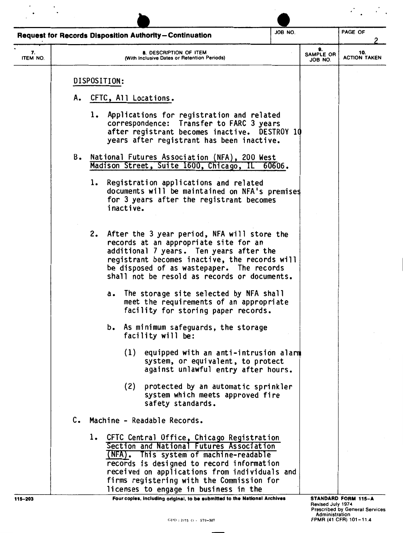|                |               | <b>Request for Records Disposition Authority-Continuation</b>                                                                                                                                                                                                                                                             | JOB NO. |                                            | PAGE OF                                                                                |
|----------------|---------------|---------------------------------------------------------------------------------------------------------------------------------------------------------------------------------------------------------------------------------------------------------------------------------------------------------------------------|---------|--------------------------------------------|----------------------------------------------------------------------------------------|
| 7.<br>ITEM NO. |               | 8. DESCRIPTION OF ITEM<br>(With Inclusive Dates or Retention Periods)                                                                                                                                                                                                                                                     |         | 9.<br>SAMPLE OR<br>JOB NO.                 | 10.<br><b>ACTION TAKEN</b>                                                             |
|                |               | DISPOSITION:                                                                                                                                                                                                                                                                                                              |         |                                            |                                                                                        |
|                |               | A. CFTC, All Locations.                                                                                                                                                                                                                                                                                                   |         |                                            |                                                                                        |
|                |               | 1. Applications for registration and related<br>correspondence: Transfer to FARC 3 years<br>after registrant becomes inactive. DESTROY 10<br>years after registrant has been inactive.                                                                                                                                    |         |                                            |                                                                                        |
|                |               | B. National Futures Association (NFA), 200 West<br>Madison Street, Suite 1600, Chicago, IL 60606.                                                                                                                                                                                                                         |         |                                            |                                                                                        |
|                |               | 1. Registration applications and related<br>documents will be maintained on NFA's premises<br>for 3 years after the registrant becomes<br>inactive.                                                                                                                                                                       |         |                                            |                                                                                        |
|                |               | 2. After the 3 year period, NFA will store the<br>records at an appropriate site for an<br>additional 7 years. Ten years after the<br>registrant becomes inactive, the records will<br>be disposed of as wastepaper. The records<br>shall not be resold as records or documents.                                          |         |                                            |                                                                                        |
|                |               | a. The storage site selected by NFA shall<br>meet the requirements of an appropriate<br>facility for storing paper records.                                                                                                                                                                                               |         |                                            |                                                                                        |
|                |               | b. As minimum safeguards, the storage<br>facility will be:                                                                                                                                                                                                                                                                |         |                                            |                                                                                        |
|                |               | (1)<br>equipped with an anti-intrusion alarm<br>system, or equivalent, to protect<br>against unlawful entry after hours.                                                                                                                                                                                                  |         |                                            |                                                                                        |
|                |               | (2)<br>protected by an automatic sprinkler<br>system which meets approved fire<br>safety standards.                                                                                                                                                                                                                       |         |                                            |                                                                                        |
|                | $c_{\bullet}$ | Machine - Readable Records.                                                                                                                                                                                                                                                                                               |         |                                            |                                                                                        |
|                |               | CFTC Central Office, Chicago Registration<br>ı.<br>Section and National Futures Association<br>(NFA). This system of machine-readable<br>records is designed to record information<br>received on applications from individuals and<br>firms registering with the Commission for<br>licenses to engage in business in the |         |                                            |                                                                                        |
| 115-203        |               | Four copies, including original, to be submitted to the National Archives<br>$GPO: 1975$ $O - 579-387$                                                                                                                                                                                                                    |         | <b>Revised July 1974</b><br>Administration | STANDARD FORM 115-A<br><b>Prescribed by General Services</b><br>FPMR (41 CFR) 101-11.4 |

 $\mathcal{L}^{\text{max}}_{\text{max}}$ 

 $\frac{1}{2} \frac{1}{2} \frac{1}{2} \frac{1}{2} \frac{1}{2} \frac{1}{2} \frac{1}{2} \frac{1}{2} \frac{1}{2} \frac{1}{2} \frac{1}{2} \frac{1}{2} \frac{1}{2} \frac{1}{2} \frac{1}{2} \frac{1}{2} \frac{1}{2} \frac{1}{2} \frac{1}{2} \frac{1}{2} \frac{1}{2} \frac{1}{2} \frac{1}{2} \frac{1}{2} \frac{1}{2} \frac{1}{2} \frac{1}{2} \frac{1}{2} \frac{1}{2} \frac{1}{2} \frac{1}{2} \frac{$